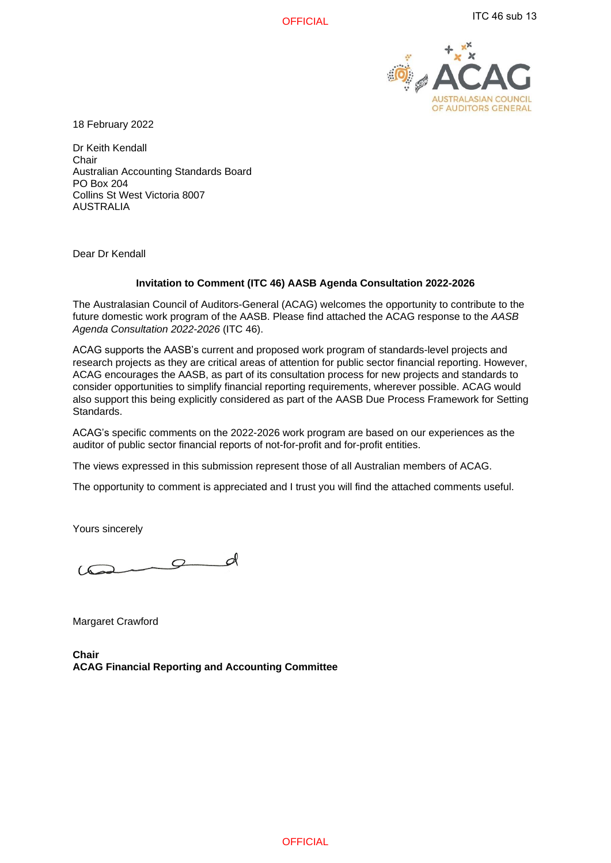**OFFICIAL** 



18 February 2022

Dr Keith Kendall **Chair** Australian Accounting Standards Board PO Box 204 Collins St West Victoria 8007 AUSTRALIA

Dear Dr Kendall

### **Invitation to Comment (ITC 46) AASB Agenda Consultation 2022-2026**

The Australasian Council of Auditors-General (ACAG) welcomes the opportunity to contribute to the future domestic work program of the AASB. Please find attached the ACAG response to the *AASB Agenda Consultation 2022-2026* (ITC 46).

ACAG supports the AASB's current and proposed work program of standards-level projects and research projects as they are critical areas of attention for public sector financial reporting. However, ACAG encourages the AASB, as part of its consultation process for new projects and standards to consider opportunities to simplify financial reporting requirements, wherever possible. ACAG would also support this being explicitly considered as part of the AASB Due Process Framework for Setting Standards.

ACAG's specific comments on the 2022-2026 work program are based on our experiences as the auditor of public sector financial reports of not-for-profit and for-profit entities.

The views expressed in this submission represent those of all Australian members of ACAG.

The opportunity to comment is appreciated and I trust you will find the attached comments useful.

Yours sincerely

 $\sigma$  $\sqrt{2}$ 

Margaret Crawford

**Chair ACAG Financial Reporting and Accounting Committee**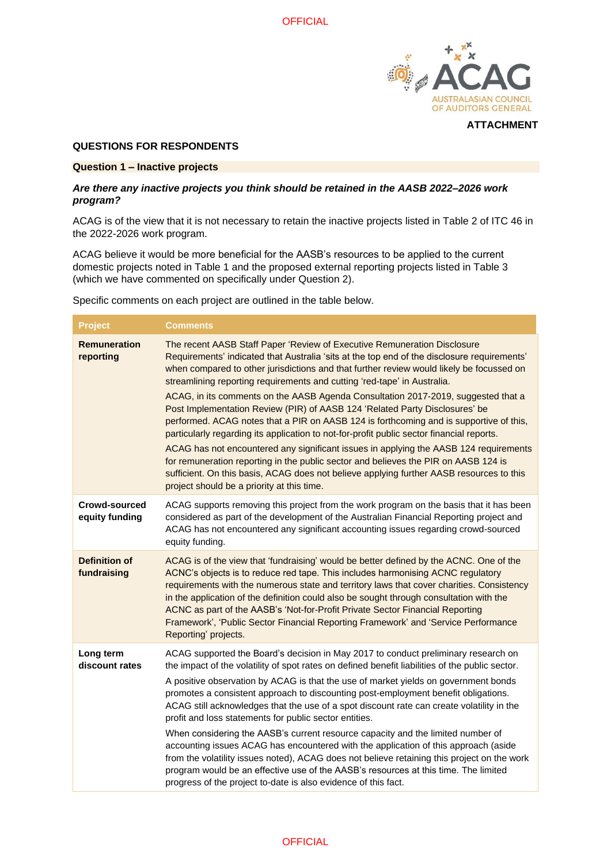

### **QUESTIONS FOR RESPONDENTS**

#### **Question 1 – Inactive projects**

### *Are there any inactive projects you think should be retained in the AASB 2022–2026 work program?*

ACAG is of the view that it is not necessary to retain the inactive projects listed in Table 2 of ITC 46 in the 2022-2026 work program.

ACAG believe it would be more beneficial for the AASB's resources to be applied to the current domestic projects noted in Table 1 and the proposed external reporting projects listed in Table 3 (which we have commented on specifically under Question 2).

Specific comments on each project are outlined in the table below.

| <b>Project</b>                      | <b>Comments</b>                                                                                                                                                                                                                                                                                                                                                                                                                                                                                                                                                                                                                                                                                                                                                                                                                                                                                                                                                                                                                      |
|-------------------------------------|--------------------------------------------------------------------------------------------------------------------------------------------------------------------------------------------------------------------------------------------------------------------------------------------------------------------------------------------------------------------------------------------------------------------------------------------------------------------------------------------------------------------------------------------------------------------------------------------------------------------------------------------------------------------------------------------------------------------------------------------------------------------------------------------------------------------------------------------------------------------------------------------------------------------------------------------------------------------------------------------------------------------------------------|
| <b>Remuneration</b><br>reporting    | The recent AASB Staff Paper 'Review of Executive Remuneration Disclosure<br>Requirements' indicated that Australia 'sits at the top end of the disclosure requirements'<br>when compared to other jurisdictions and that further review would likely be focussed on<br>streamlining reporting requirements and cutting 'red-tape' in Australia.<br>ACAG, in its comments on the AASB Agenda Consultation 2017-2019, suggested that a<br>Post Implementation Review (PIR) of AASB 124 'Related Party Disclosures' be<br>performed. ACAG notes that a PIR on AASB 124 is forthcoming and is supportive of this,<br>particularly regarding its application to not-for-profit public sector financial reports.<br>ACAG has not encountered any significant issues in applying the AASB 124 requirements<br>for remuneration reporting in the public sector and believes the PIR on AASB 124 is<br>sufficient. On this basis, ACAG does not believe applying further AASB resources to this<br>project should be a priority at this time. |
| Crowd-sourced<br>equity funding     | ACAG supports removing this project from the work program on the basis that it has been<br>considered as part of the development of the Australian Financial Reporting project and<br>ACAG has not encountered any significant accounting issues regarding crowd-sourced<br>equity funding.                                                                                                                                                                                                                                                                                                                                                                                                                                                                                                                                                                                                                                                                                                                                          |
| <b>Definition of</b><br>fundraising | ACAG is of the view that 'fundraising' would be better defined by the ACNC. One of the<br>ACNC's objects is to reduce red tape. This includes harmonising ACNC regulatory<br>requirements with the numerous state and territory laws that cover charities. Consistency<br>in the application of the definition could also be sought through consultation with the<br>ACNC as part of the AASB's 'Not-for-Profit Private Sector Financial Reporting<br>Framework', 'Public Sector Financial Reporting Framework' and 'Service Performance<br>Reporting' projects.                                                                                                                                                                                                                                                                                                                                                                                                                                                                     |
| Long term<br>discount rates         | ACAG supported the Board's decision in May 2017 to conduct preliminary research on<br>the impact of the volatility of spot rates on defined benefit liabilities of the public sector.<br>A positive observation by ACAG is that the use of market yields on government bonds<br>promotes a consistent approach to discounting post-employment benefit obligations.<br>ACAG still acknowledges that the use of a spot discount rate can create volatility in the<br>profit and loss statements for public sector entities.<br>When considering the AASB's current resource capacity and the limited number of<br>accounting issues ACAG has encountered with the application of this approach (aside<br>from the volatility issues noted), ACAG does not believe retaining this project on the work<br>program would be an effective use of the AASB's resources at this time. The limited<br>progress of the project to-date is also evidence of this fact.                                                                          |

# **OFFICIAL**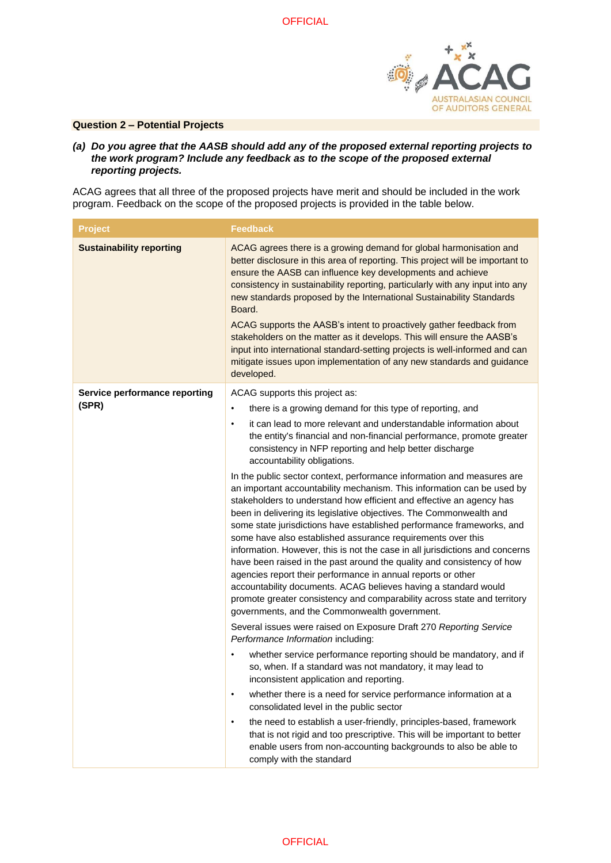

## **Question 2 – Potential Projects**

*(a) Do you agree that the AASB should add any of the proposed external reporting projects to the work program? Include any feedback as to the scope of the proposed external reporting projects.*

ACAG agrees that all three of the proposed projects have merit and should be included in the work program. Feedback on the scope of the proposed projects is provided in the table below.

| <b>Project</b>                  | <b>Feedback</b>                                                                                                                                                                                                                                                                                                                                                                                                                                                                                                                                                                                                                                                                                                                                                                                                                                                   |
|---------------------------------|-------------------------------------------------------------------------------------------------------------------------------------------------------------------------------------------------------------------------------------------------------------------------------------------------------------------------------------------------------------------------------------------------------------------------------------------------------------------------------------------------------------------------------------------------------------------------------------------------------------------------------------------------------------------------------------------------------------------------------------------------------------------------------------------------------------------------------------------------------------------|
| <b>Sustainability reporting</b> | ACAG agrees there is a growing demand for global harmonisation and<br>better disclosure in this area of reporting. This project will be important to<br>ensure the AASB can influence key developments and achieve<br>consistency in sustainability reporting, particularly with any input into any<br>new standards proposed by the International Sustainability Standards<br>Board.<br>ACAG supports the AASB's intent to proactively gather feedback from<br>stakeholders on the matter as it develops. This will ensure the AASB's<br>input into international standard-setting projects is well-informed and can<br>mitigate issues upon implementation of any new standards and guidance<br>developed.                                                                                                                                                      |
| Service performance reporting   | ACAG supports this project as:                                                                                                                                                                                                                                                                                                                                                                                                                                                                                                                                                                                                                                                                                                                                                                                                                                    |
| (SPR)                           | there is a growing demand for this type of reporting, and<br>$\bullet$<br>it can lead to more relevant and understandable information about<br>$\bullet$<br>the entity's financial and non-financial performance, promote greater<br>consistency in NFP reporting and help better discharge<br>accountability obligations.                                                                                                                                                                                                                                                                                                                                                                                                                                                                                                                                        |
|                                 | In the public sector context, performance information and measures are<br>an important accountability mechanism. This information can be used by<br>stakeholders to understand how efficient and effective an agency has<br>been in delivering its legislative objectives. The Commonwealth and<br>some state jurisdictions have established performance frameworks, and<br>some have also established assurance requirements over this<br>information. However, this is not the case in all jurisdictions and concerns<br>have been raised in the past around the quality and consistency of how<br>agencies report their performance in annual reports or other<br>accountability documents. ACAG believes having a standard would<br>promote greater consistency and comparability across state and territory<br>governments, and the Commonwealth government. |
|                                 | Several issues were raised on Exposure Draft 270 Reporting Service<br>Performance Information including:                                                                                                                                                                                                                                                                                                                                                                                                                                                                                                                                                                                                                                                                                                                                                          |
|                                 | whether service performance reporting should be mandatory, and if<br>so, when. If a standard was not mandatory, it may lead to<br>inconsistent application and reporting.                                                                                                                                                                                                                                                                                                                                                                                                                                                                                                                                                                                                                                                                                         |
|                                 | whether there is a need for service performance information at a<br>٠<br>consolidated level in the public sector                                                                                                                                                                                                                                                                                                                                                                                                                                                                                                                                                                                                                                                                                                                                                  |
|                                 | the need to establish a user-friendly, principles-based, framework<br>٠<br>that is not rigid and too prescriptive. This will be important to better<br>enable users from non-accounting backgrounds to also be able to<br>comply with the standard                                                                                                                                                                                                                                                                                                                                                                                                                                                                                                                                                                                                                |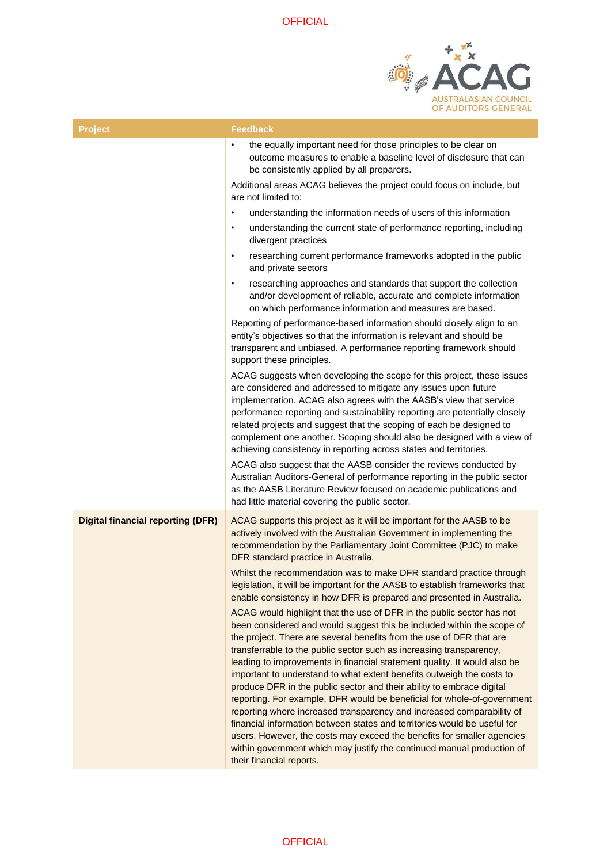

| <b>Project</b>                           | <b>Feedback</b>                                                                                                                                                                                                                                                                                                                                                                                                                                                                                                                                                                                                                                                                                                                                                                                                                                                                                                                              |
|------------------------------------------|----------------------------------------------------------------------------------------------------------------------------------------------------------------------------------------------------------------------------------------------------------------------------------------------------------------------------------------------------------------------------------------------------------------------------------------------------------------------------------------------------------------------------------------------------------------------------------------------------------------------------------------------------------------------------------------------------------------------------------------------------------------------------------------------------------------------------------------------------------------------------------------------------------------------------------------------|
|                                          | $\bullet$<br>the equally important need for those principles to be clear on<br>outcome measures to enable a baseline level of disclosure that can<br>be consistently applied by all preparers.                                                                                                                                                                                                                                                                                                                                                                                                                                                                                                                                                                                                                                                                                                                                               |
|                                          | Additional areas ACAG believes the project could focus on include, but<br>are not limited to:                                                                                                                                                                                                                                                                                                                                                                                                                                                                                                                                                                                                                                                                                                                                                                                                                                                |
|                                          | understanding the information needs of users of this information<br>$\bullet$                                                                                                                                                                                                                                                                                                                                                                                                                                                                                                                                                                                                                                                                                                                                                                                                                                                                |
|                                          | understanding the current state of performance reporting, including<br>$\bullet$<br>divergent practices                                                                                                                                                                                                                                                                                                                                                                                                                                                                                                                                                                                                                                                                                                                                                                                                                                      |
|                                          | researching current performance frameworks adopted in the public<br>$\bullet$<br>and private sectors                                                                                                                                                                                                                                                                                                                                                                                                                                                                                                                                                                                                                                                                                                                                                                                                                                         |
|                                          | researching approaches and standards that support the collection<br>$\bullet$<br>and/or development of reliable, accurate and complete information<br>on which performance information and measures are based.                                                                                                                                                                                                                                                                                                                                                                                                                                                                                                                                                                                                                                                                                                                               |
|                                          | Reporting of performance-based information should closely align to an<br>entity's objectives so that the information is relevant and should be<br>transparent and unbiased. A performance reporting framework should<br>support these principles.                                                                                                                                                                                                                                                                                                                                                                                                                                                                                                                                                                                                                                                                                            |
|                                          | ACAG suggests when developing the scope for this project, these issues<br>are considered and addressed to mitigate any issues upon future<br>implementation. ACAG also agrees with the AASB's view that service<br>performance reporting and sustainability reporting are potentially closely<br>related projects and suggest that the scoping of each be designed to<br>complement one another. Scoping should also be designed with a view of<br>achieving consistency in reporting across states and territories.                                                                                                                                                                                                                                                                                                                                                                                                                         |
|                                          | ACAG also suggest that the AASB consider the reviews conducted by<br>Australian Auditors-General of performance reporting in the public sector<br>as the AASB Literature Review focused on academic publications and<br>had little material covering the public sector.                                                                                                                                                                                                                                                                                                                                                                                                                                                                                                                                                                                                                                                                      |
| <b>Digital financial reporting (DFR)</b> | ACAG supports this project as it will be important for the AASB to be<br>actively involved with the Australian Government in implementing the<br>recommendation by the Parliamentary Joint Committee (PJC) to make<br>DFR standard practice in Australia.                                                                                                                                                                                                                                                                                                                                                                                                                                                                                                                                                                                                                                                                                    |
|                                          | Whilst the recommendation was to make DFR standard practice through<br>legislation, it will be important for the AASB to establish frameworks that<br>enable consistency in how DFR is prepared and presented in Australia.                                                                                                                                                                                                                                                                                                                                                                                                                                                                                                                                                                                                                                                                                                                  |
|                                          | ACAG would highlight that the use of DFR in the public sector has not<br>been considered and would suggest this be included within the scope of<br>the project. There are several benefits from the use of DFR that are<br>transferrable to the public sector such as increasing transparency,<br>leading to improvements in financial statement quality. It would also be<br>important to understand to what extent benefits outweigh the costs to<br>produce DFR in the public sector and their ability to embrace digital<br>reporting. For example, DFR would be beneficial for whole-of-government<br>reporting where increased transparency and increased comparability of<br>financial information between states and territories would be useful for<br>users. However, the costs may exceed the benefits for smaller agencies<br>within government which may justify the continued manual production of<br>their financial reports. |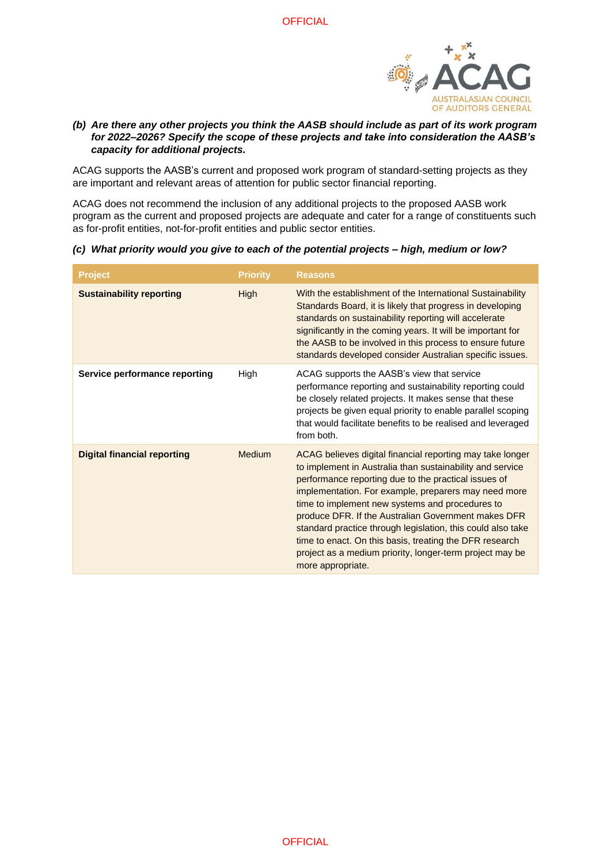

# *(b) Are there any other projects you think the AASB should include as part of its work program for 2022–2026? Specify the scope of these projects and take into consideration the AASB's capacity for additional projects.*

ACAG supports the AASB's current and proposed work program of standard-setting projects as they are important and relevant areas of attention for public sector financial reporting.

ACAG does not recommend the inclusion of any additional projects to the proposed AASB work program as the current and proposed projects are adequate and cater for a range of constituents such as for-profit entities, not-for-profit entities and public sector entities.

*(c) What priority would you give to each of the potential projects – high, medium or low?*

| <b>Project</b>                     | <b>Priority</b> | <b>Reasons</b>                                                                                                                                                                                                                                                                                                                                                                                                                                                                                                                                              |
|------------------------------------|-----------------|-------------------------------------------------------------------------------------------------------------------------------------------------------------------------------------------------------------------------------------------------------------------------------------------------------------------------------------------------------------------------------------------------------------------------------------------------------------------------------------------------------------------------------------------------------------|
| <b>Sustainability reporting</b>    | <b>High</b>     | With the establishment of the International Sustainability<br>Standards Board, it is likely that progress in developing<br>standards on sustainability reporting will accelerate<br>significantly in the coming years. It will be important for<br>the AASB to be involved in this process to ensure future<br>standards developed consider Australian specific issues.                                                                                                                                                                                     |
| Service performance reporting      | High            | ACAG supports the AASB's view that service<br>performance reporting and sustainability reporting could<br>be closely related projects. It makes sense that these<br>projects be given equal priority to enable parallel scoping<br>that would facilitate benefits to be realised and leveraged<br>from both.                                                                                                                                                                                                                                                |
| <b>Digital financial reporting</b> | Medium          | ACAG believes digital financial reporting may take longer<br>to implement in Australia than sustainability and service<br>performance reporting due to the practical issues of<br>implementation. For example, preparers may need more<br>time to implement new systems and procedures to<br>produce DFR. If the Australian Government makes DFR<br>standard practice through legislation, this could also take<br>time to enact. On this basis, treating the DFR research<br>project as a medium priority, longer-term project may be<br>more appropriate. |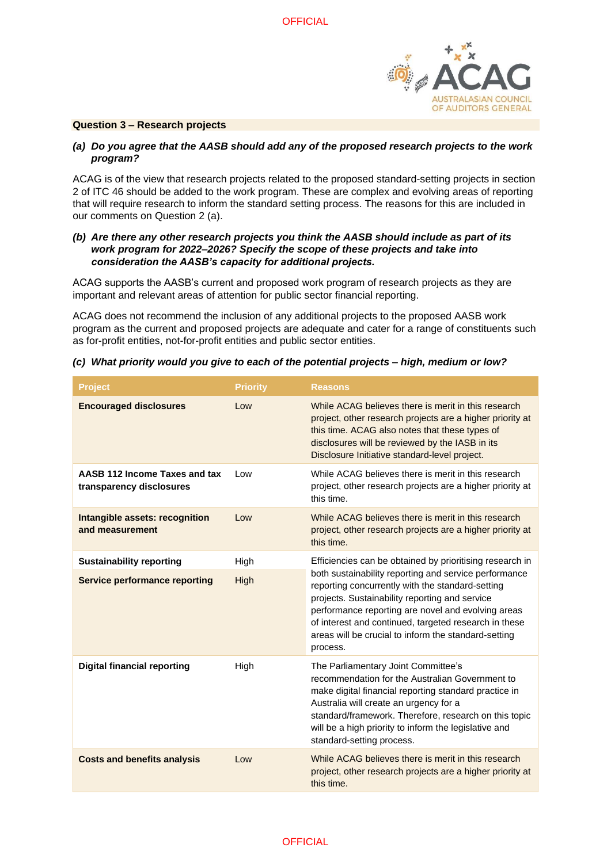

### **Question 3 – Research projects**

## *(a) Do you agree that the AASB should add any of the proposed research projects to the work program?*

ACAG is of the view that research projects related to the proposed standard-setting projects in section 2 of ITC 46 should be added to the work program. These are complex and evolving areas of reporting that will require research to inform the standard setting process. The reasons for this are included in our comments on Question 2 (a).

## *(b) Are there any other research projects you think the AASB should include as part of its work program for 2022–2026? Specify the scope of these projects and take into consideration the AASB's capacity for additional projects.*

ACAG supports the AASB's current and proposed work program of research projects as they are important and relevant areas of attention for public sector financial reporting.

ACAG does not recommend the inclusion of any additional projects to the proposed AASB work program as the current and proposed projects are adequate and cater for a range of constituents such as for-profit entities, not-for-profit entities and public sector entities.

| <b>Project</b>                                            | <b>Priority</b> | <b>Reasons</b>                                                                                                                                                                                                                                                                                                                                 |
|-----------------------------------------------------------|-----------------|------------------------------------------------------------------------------------------------------------------------------------------------------------------------------------------------------------------------------------------------------------------------------------------------------------------------------------------------|
| <b>Encouraged disclosures</b>                             | Low             | While ACAG believes there is merit in this research<br>project, other research projects are a higher priority at<br>this time. ACAG also notes that these types of<br>disclosures will be reviewed by the IASB in its<br>Disclosure Initiative standard-level project.                                                                         |
| AASB 112 Income Taxes and tax<br>transparency disclosures | Low             | While ACAG believes there is merit in this research<br>project, other research projects are a higher priority at<br>this time.                                                                                                                                                                                                                 |
| Intangible assets: recognition<br>and measurement         | Low             | While ACAG believes there is merit in this research<br>project, other research projects are a higher priority at<br>this time.                                                                                                                                                                                                                 |
| <b>Sustainability reporting</b>                           | High            | Efficiencies can be obtained by prioritising research in                                                                                                                                                                                                                                                                                       |
| <b>Service performance reporting</b>                      | High            | both sustainability reporting and service performance<br>reporting concurrently with the standard-setting<br>projects. Sustainability reporting and service<br>performance reporting are novel and evolving areas<br>of interest and continued, targeted research in these<br>areas will be crucial to inform the standard-setting<br>process. |
| <b>Digital financial reporting</b>                        | High            | The Parliamentary Joint Committee's<br>recommendation for the Australian Government to<br>make digital financial reporting standard practice in<br>Australia will create an urgency for a<br>standard/framework. Therefore, research on this topic<br>will be a high priority to inform the legislative and<br>standard-setting process.       |
| <b>Costs and benefits analysis</b>                        | Low             | While ACAG believes there is merit in this research<br>project, other research projects are a higher priority at<br>this time.                                                                                                                                                                                                                 |

### *(c) What priority would you give to each of the potential projects – high, medium or low?*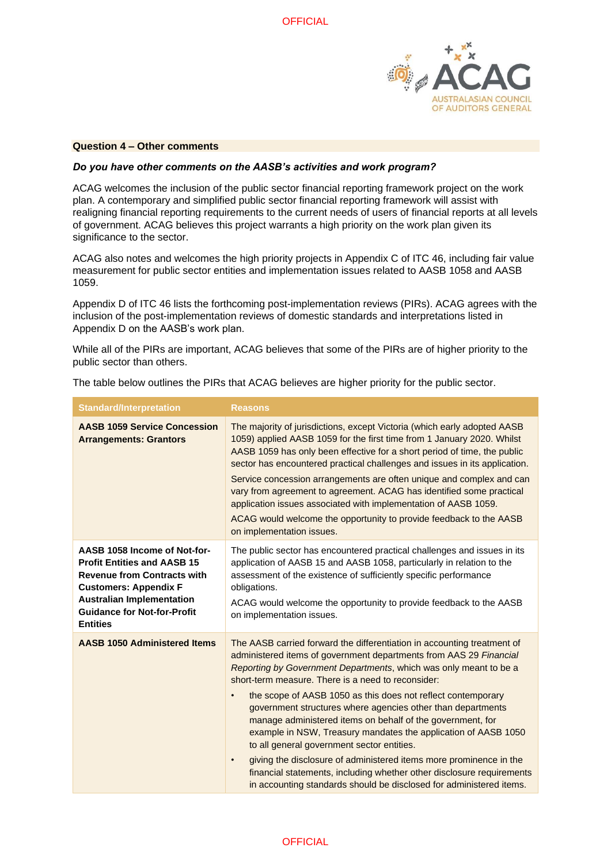

#### **Question 4 – Other comments**

### *Do you have other comments on the AASB's activities and work program?*

ACAG welcomes the inclusion of the public sector financial reporting framework project on the work plan. A contemporary and simplified public sector financial reporting framework will assist with realigning financial reporting requirements to the current needs of users of financial reports at all levels of government. ACAG believes this project warrants a high priority on the work plan given its significance to the sector.

ACAG also notes and welcomes the high priority projects in Appendix C of ITC 46, including fair value measurement for public sector entities and implementation issues related to AASB 1058 and AASB 1059.

Appendix D of ITC 46 lists the forthcoming post-implementation reviews (PIRs). ACAG agrees with the inclusion of the post-implementation reviews of domestic standards and interpretations listed in Appendix D on the AASB's work plan.

While all of the PIRs are important, ACAG believes that some of the PIRs are of higher priority to the public sector than others.

| <b>Standard/Interpretation</b>                                                                                                                                                                                                        | <b>Reasons</b>                                                                                                                                                                                                                                                                                                                                                                                                                                                                                                                                                                                                                                                                                                                                                                                                                        |
|---------------------------------------------------------------------------------------------------------------------------------------------------------------------------------------------------------------------------------------|---------------------------------------------------------------------------------------------------------------------------------------------------------------------------------------------------------------------------------------------------------------------------------------------------------------------------------------------------------------------------------------------------------------------------------------------------------------------------------------------------------------------------------------------------------------------------------------------------------------------------------------------------------------------------------------------------------------------------------------------------------------------------------------------------------------------------------------|
| <b>AASB 1059 Service Concession</b><br><b>Arrangements: Grantors</b>                                                                                                                                                                  | The majority of jurisdictions, except Victoria (which early adopted AASB<br>1059) applied AASB 1059 for the first time from 1 January 2020. Whilst<br>AASB 1059 has only been effective for a short period of time, the public<br>sector has encountered practical challenges and issues in its application.<br>Service concession arrangements are often unique and complex and can<br>vary from agreement to agreement. ACAG has identified some practical<br>application issues associated with implementation of AASB 1059.<br>ACAG would welcome the opportunity to provide feedback to the AASB<br>on implementation issues.                                                                                                                                                                                                    |
| AASB 1058 Income of Not-for-<br><b>Profit Entities and AASB 15</b><br><b>Revenue from Contracts with</b><br><b>Customers: Appendix F</b><br><b>Australian Implementation</b><br><b>Guidance for Not-for-Profit</b><br><b>Entities</b> | The public sector has encountered practical challenges and issues in its<br>application of AASB 15 and AASB 1058, particularly in relation to the<br>assessment of the existence of sufficiently specific performance<br>obligations.<br>ACAG would welcome the opportunity to provide feedback to the AASB<br>on implementation issues.                                                                                                                                                                                                                                                                                                                                                                                                                                                                                              |
| <b>AASB 1050 Administered Items</b>                                                                                                                                                                                                   | The AASB carried forward the differentiation in accounting treatment of<br>administered items of government departments from AAS 29 Financial<br>Reporting by Government Departments, which was only meant to be a<br>short-term measure. There is a need to reconsider:<br>the scope of AASB 1050 as this does not reflect contemporary<br>$\bullet$<br>government structures where agencies other than departments<br>manage administered items on behalf of the government, for<br>example in NSW, Treasury mandates the application of AASB 1050<br>to all general government sector entities.<br>giving the disclosure of administered items more prominence in the<br>$\bullet$<br>financial statements, including whether other disclosure requirements<br>in accounting standards should be disclosed for administered items. |

The table below outlines the PIRs that ACAG believes are higher priority for the public sector.

### **OFFICIAL**